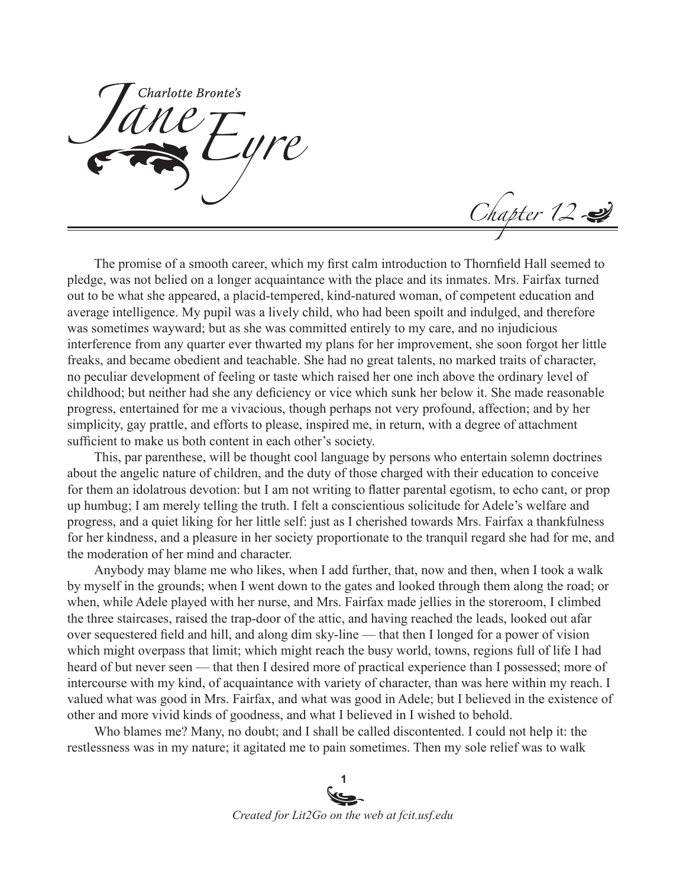Charlotte Bronte's

Chapter 12

The promise of a smooth career, which my first calm introduction to Thornfield Hall seemed to pledge, was not belied on a longer acquaintance with the place and its inmates. Mrs. Fairfax turned out to be what she appeared, a placid-tempered, kind-natured woman, of competent education and average intelligence. My pupil was a lively child, who had been spoilt and indulged, and therefore was sometimes wayward; but as she was committed entirely to my care, and no injudicious interference from any quarter ever thwarted my plans for her improvement, she soon forgot her little freaks, and became obedient and teachable. She had no great talents, no marked traits of character, no peculiar development of feeling or taste which raised her one inch above the ordinary level of childhood; but neither had she any deficiency or vice which sunk her below it. She made reasonable progress, entertained for me a vivacious, though perhaps not very profound, affection; and by her simplicity, gay prattle, and efforts to please, inspired me, in return, with a degree of attachment sufficient to make us both content in each other's society.

This, par parenthese, will be thought cool language by persons who entertain solemn doctrines about the angelic nature of children, and the duty of those charged with their education to conceive for them an idolatrous devotion: but I am not writing to flatter parental egotism, to echo cant, or prop up humbug; I am merely telling the truth. I felt a conscientious solicitude for Adele's welfare and progress, and a quiet liking for her little self: just as I cherished towards Mrs. Fairfax a thankfulness for her kindness, and a pleasure in her society proportionate to the tranquil regard she had for me, and the moderation of her mind and character.

Anybody may blame me who likes, when I add further, that, now and then, when I took a walk by myself in the grounds; when I went down to the gates and looked through them along the road; or when, while Adele played with her nurse, and Mrs. Fairfax made jellies in the storeroom, I climbed the three staircases, raised the trap-door of the attic, and having reached the leads, looked out afar over sequestered field and hill, and along dim sky-line — that then I longed for a power of vision which might overpass that limit; which might reach the busy world, towns, regions full of life I had heard of but never seen — that then I desired more of practical experience than I possessed; more of intercourse with my kind, of acquaintance with variety of character, than was here within my reach. I valued what was good in Mrs. Fairfax, and what was good in Adele; but I believed in the existence of other and more vivid kinds of goodness, and what I believed in I wished to behold.

Who blames me? Many, no doubt; and I shall be called discontented. I could not help it: the restlessness was in my nature; it agitated me to pain sometimes. Then my sole relief was to walk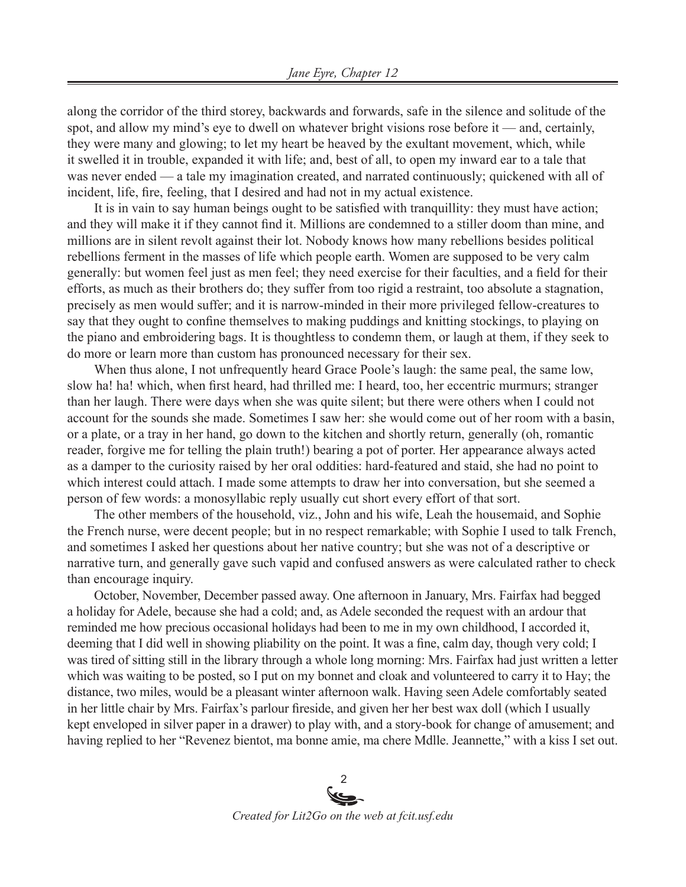along the corridor of the third storey, backwards and forwards, safe in the silence and solitude of the spot, and allow my mind's eye to dwell on whatever bright visions rose before it — and, certainly, they were many and glowing; to let my heart be heaved by the exultant movement, which, while it swelled it in trouble, expanded it with life; and, best of all, to open my inward ear to a tale that was never ended — a tale my imagination created, and narrated continuously; quickened with all of incident, life, fire, feeling, that I desired and had not in my actual existence.

It is in vain to say human beings ought to be satisfied with tranquillity: they must have action; and they will make it if they cannot find it. Millions are condemned to a stiller doom than mine, and millions are in silent revolt against their lot. Nobody knows how many rebellions besides political rebellions ferment in the masses of life which people earth. Women are supposed to be very calm generally: but women feel just as men feel; they need exercise for their faculties, and a field for their efforts, as much as their brothers do; they suffer from too rigid a restraint, too absolute a stagnation, precisely as men would suffer; and it is narrow-minded in their more privileged fellow-creatures to say that they ought to confine themselves to making puddings and knitting stockings, to playing on the piano and embroidering bags. It is thoughtless to condemn them, or laugh at them, if they seek to do more or learn more than custom has pronounced necessary for their sex.

When thus alone, I not unfrequently heard Grace Poole's laugh: the same peal, the same low, slow ha! ha! which, when first heard, had thrilled me: I heard, too, her eccentric murmurs; stranger than her laugh. There were days when she was quite silent; but there were others when I could not account for the sounds she made. Sometimes I saw her: she would come out of her room with a basin, or a plate, or a tray in her hand, go down to the kitchen and shortly return, generally (oh, romantic reader, forgive me for telling the plain truth!) bearing a pot of porter. Her appearance always acted as a damper to the curiosity raised by her oral oddities: hard-featured and staid, she had no point to which interest could attach. I made some attempts to draw her into conversation, but she seemed a person of few words: a monosyllabic reply usually cut short every effort of that sort.

The other members of the household, viz., John and his wife, Leah the housemaid, and Sophie the French nurse, were decent people; but in no respect remarkable; with Sophie I used to talk French, and sometimes I asked her questions about her native country; but she was not of a descriptive or narrative turn, and generally gave such vapid and confused answers as were calculated rather to check than encourage inquiry.

October, November, December passed away. One afternoon in January, Mrs. Fairfax had begged a holiday for Adele, because she had a cold; and, as Adele seconded the request with an ardour that reminded me how precious occasional holidays had been to me in my own childhood, I accorded it, deeming that I did well in showing pliability on the point. It was a fine, calm day, though very cold; I was tired of sitting still in the library through a whole long morning: Mrs. Fairfax had just written a letter which was waiting to be posted, so I put on my bonnet and cloak and volunteered to carry it to Hay; the distance, two miles, would be a pleasant winter afternoon walk. Having seen Adele comfortably seated in her little chair by Mrs. Fairfax's parlour fireside, and given her her best wax doll (which I usually kept enveloped in silver paper in a drawer) to play with, and a story-book for change of amusement; and having replied to her "Revenez bientot, ma bonne amie, ma chere Mdlle. Jeannette," with a kiss I set out.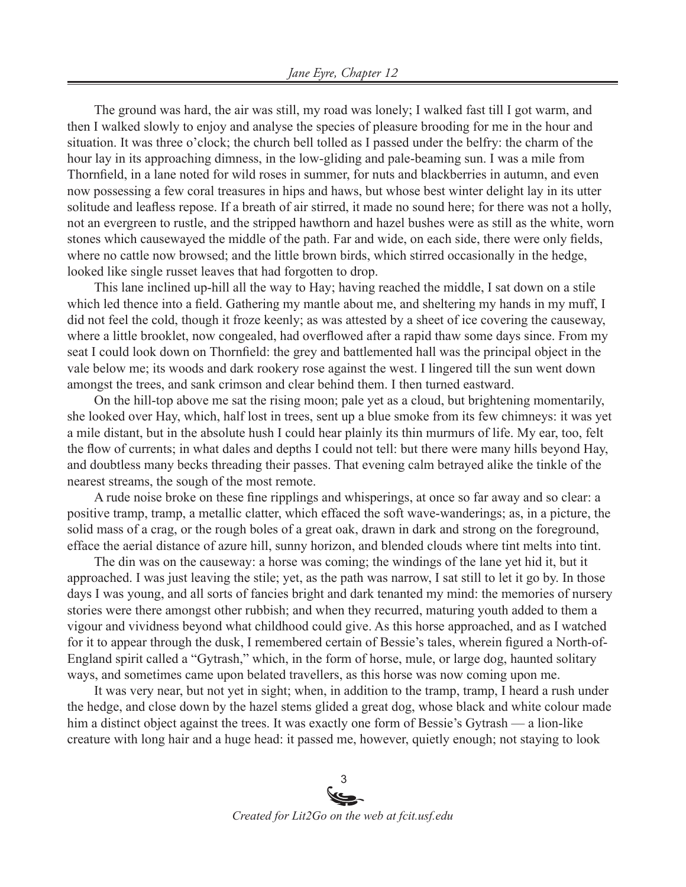The ground was hard, the air was still, my road was lonely; I walked fast till I got warm, and then I walked slowly to enjoy and analyse the species of pleasure brooding for me in the hour and situation. It was three o'clock; the church bell tolled as I passed under the belfry: the charm of the hour lay in its approaching dimness, in the low-gliding and pale-beaming sun. I was a mile from Thornfield, in a lane noted for wild roses in summer, for nuts and blackberries in autumn, and even now possessing a few coral treasures in hips and haws, but whose best winter delight lay in its utter solitude and leafless repose. If a breath of air stirred, it made no sound here; for there was not a holly, not an evergreen to rustle, and the stripped hawthorn and hazel bushes were as still as the white, worn stones which causewayed the middle of the path. Far and wide, on each side, there were only fields, where no cattle now browsed; and the little brown birds, which stirred occasionally in the hedge, looked like single russet leaves that had forgotten to drop.

This lane inclined up-hill all the way to Hay; having reached the middle, I sat down on a stile which led thence into a field. Gathering my mantle about me, and sheltering my hands in my muff, I did not feel the cold, though it froze keenly; as was attested by a sheet of ice covering the causeway, where a little brooklet, now congealed, had overflowed after a rapid thaw some days since. From my seat I could look down on Thornfield: the grey and battlemented hall was the principal object in the vale below me; its woods and dark rookery rose against the west. I lingered till the sun went down amongst the trees, and sank crimson and clear behind them. I then turned eastward.

On the hill-top above me sat the rising moon; pale yet as a cloud, but brightening momentarily, she looked over Hay, which, half lost in trees, sent up a blue smoke from its few chimneys: it was yet a mile distant, but in the absolute hush I could hear plainly its thin murmurs of life. My ear, too, felt the flow of currents; in what dales and depths I could not tell: but there were many hills beyond Hay, and doubtless many becks threading their passes. That evening calm betrayed alike the tinkle of the nearest streams, the sough of the most remote.

A rude noise broke on these fine ripplings and whisperings, at once so far away and so clear: a positive tramp, tramp, a metallic clatter, which effaced the soft wave-wanderings; as, in a picture, the solid mass of a crag, or the rough boles of a great oak, drawn in dark and strong on the foreground, efface the aerial distance of azure hill, sunny horizon, and blended clouds where tint melts into tint.

The din was on the causeway: a horse was coming; the windings of the lane yet hid it, but it approached. I was just leaving the stile; yet, as the path was narrow, I sat still to let it go by. In those days I was young, and all sorts of fancies bright and dark tenanted my mind: the memories of nursery stories were there amongst other rubbish; and when they recurred, maturing youth added to them a vigour and vividness beyond what childhood could give. As this horse approached, and as I watched for it to appear through the dusk, I remembered certain of Bessie's tales, wherein figured a North-of-England spirit called a "Gytrash," which, in the form of horse, mule, or large dog, haunted solitary ways, and sometimes came upon belated travellers, as this horse was now coming upon me.

It was very near, but not yet in sight; when, in addition to the tramp, tramp, I heard a rush under the hedge, and close down by the hazel stems glided a great dog, whose black and white colour made him a distinct object against the trees. It was exactly one form of Bessie's Gytrash — a lion-like creature with long hair and a huge head: it passed me, however, quietly enough; not staying to look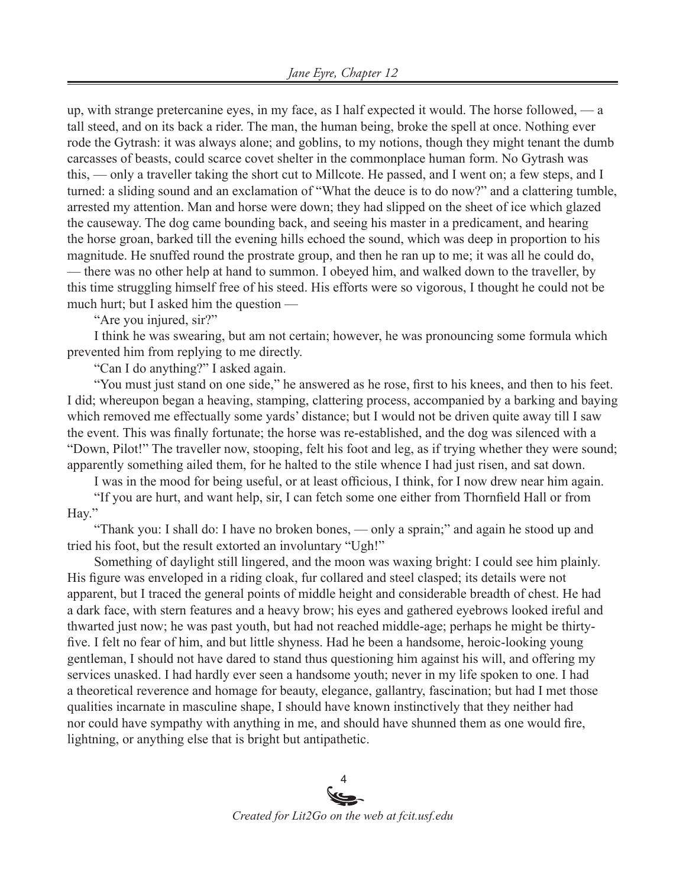up, with strange pretercanine eyes, in my face, as I half expected it would. The horse followed, — a tall steed, and on its back a rider. The man, the human being, broke the spell at once. Nothing ever rode the Gytrash: it was always alone; and goblins, to my notions, though they might tenant the dumb carcasses of beasts, could scarce covet shelter in the commonplace human form. No Gytrash was this, — only a traveller taking the short cut to Millcote. He passed, and I went on; a few steps, and I turned: a sliding sound and an exclamation of "What the deuce is to do now?" and a clattering tumble, arrested my attention. Man and horse were down; they had slipped on the sheet of ice which glazed the causeway. The dog came bounding back, and seeing his master in a predicament, and hearing the horse groan, barked till the evening hills echoed the sound, which was deep in proportion to his magnitude. He snuffed round the prostrate group, and then he ran up to me; it was all he could do, — there was no other help at hand to summon. I obeyed him, and walked down to the traveller, by this time struggling himself free of his steed. His efforts were so vigorous, I thought he could not be much hurt; but I asked him the question —

"Are you injured, sir?"

I think he was swearing, but am not certain; however, he was pronouncing some formula which prevented him from replying to me directly.

"Can I do anything?" I asked again.

"You must just stand on one side," he answered as he rose, first to his knees, and then to his feet. I did; whereupon began a heaving, stamping, clattering process, accompanied by a barking and baying which removed me effectually some yards' distance; but I would not be driven quite away till I saw the event. This was finally fortunate; the horse was re-established, and the dog was silenced with a "Down, Pilot!" The traveller now, stooping, felt his foot and leg, as if trying whether they were sound; apparently something ailed them, for he halted to the stile whence I had just risen, and sat down.

I was in the mood for being useful, or at least officious, I think, for I now drew near him again. "If you are hurt, and want help, sir, I can fetch some one either from Thornfield Hall or from

Hay."

"Thank you: I shall do: I have no broken bones, — only a sprain;" and again he stood up and tried his foot, but the result extorted an involuntary "Ugh!"

Something of daylight still lingered, and the moon was waxing bright: I could see him plainly. His figure was enveloped in a riding cloak, fur collared and steel clasped; its details were not apparent, but I traced the general points of middle height and considerable breadth of chest. He had a dark face, with stern features and a heavy brow; his eyes and gathered eyebrows looked ireful and thwarted just now; he was past youth, but had not reached middle-age; perhaps he might be thirtyfive. I felt no fear of him, and but little shyness. Had he been a handsome, heroic-looking young gentleman, I should not have dared to stand thus questioning him against his will, and offering my services unasked. I had hardly ever seen a handsome youth; never in my life spoken to one. I had a theoretical reverence and homage for beauty, elegance, gallantry, fascination; but had I met those qualities incarnate in masculine shape, I should have known instinctively that they neither had nor could have sympathy with anything in me, and should have shunned them as one would fire, lightning, or anything else that is bright but antipathetic.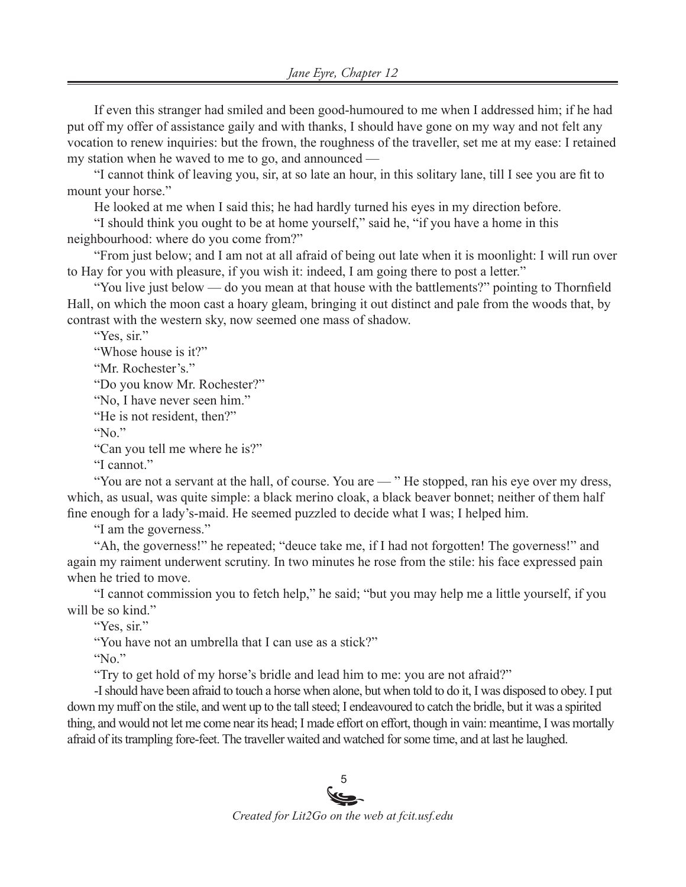If even this stranger had smiled and been good-humoured to me when I addressed him; if he had put off my offer of assistance gaily and with thanks, I should have gone on my way and not felt any vocation to renew inquiries: but the frown, the roughness of the traveller, set me at my ease: I retained my station when he waved to me to go, and announced —

"I cannot think of leaving you, sir, at so late an hour, in this solitary lane, till I see you are fit to mount your horse."

He looked at me when I said this; he had hardly turned his eyes in my direction before.

"I should think you ought to be at home yourself," said he, "if you have a home in this neighbourhood: where do you come from?"

"From just below; and I am not at all afraid of being out late when it is moonlight: I will run over to Hay for you with pleasure, if you wish it: indeed, I am going there to post a letter."

"You live just below — do you mean at that house with the battlements?" pointing to Thornfield Hall, on which the moon cast a hoary gleam, bringing it out distinct and pale from the woods that, by contrast with the western sky, now seemed one mass of shadow.

"Yes, sir."

"Whose house is it?"

"Mr. Rochester's."

"Do you know Mr. Rochester?"

"No, I have never seen him."

"He is not resident, then?"

"No."

"Can you tell me where he is?"

"I cannot."

"You are not a servant at the hall, of course. You are — " He stopped, ran his eye over my dress, which, as usual, was quite simple: a black merino cloak, a black beaver bonnet; neither of them half fine enough for a lady's-maid. He seemed puzzled to decide what I was; I helped him.

"I am the governess."

"Ah, the governess!" he repeated; "deuce take me, if I had not forgotten! The governess!" and again my raiment underwent scrutiny. In two minutes he rose from the stile: his face expressed pain when he tried to move.

"I cannot commission you to fetch help," he said; "but you may help me a little yourself, if you will be so kind."

"Yes, sir."

"You have not an umbrella that I can use as a stick?"

"No."

"Try to get hold of my horse's bridle and lead him to me: you are not afraid?"

-I should have been afraid to touch a horse when alone, but when told to do it, I was disposed to obey. I put down my muff on the stile, and went up to the tall steed; I endeavoured to catch the bridle, but it was a spirited thing, and would not let me come near its head; I made effort on effort, though in vain: meantime, I was mortally afraid of its trampling fore-feet. The traveller waited and watched for some time, and at last he laughed.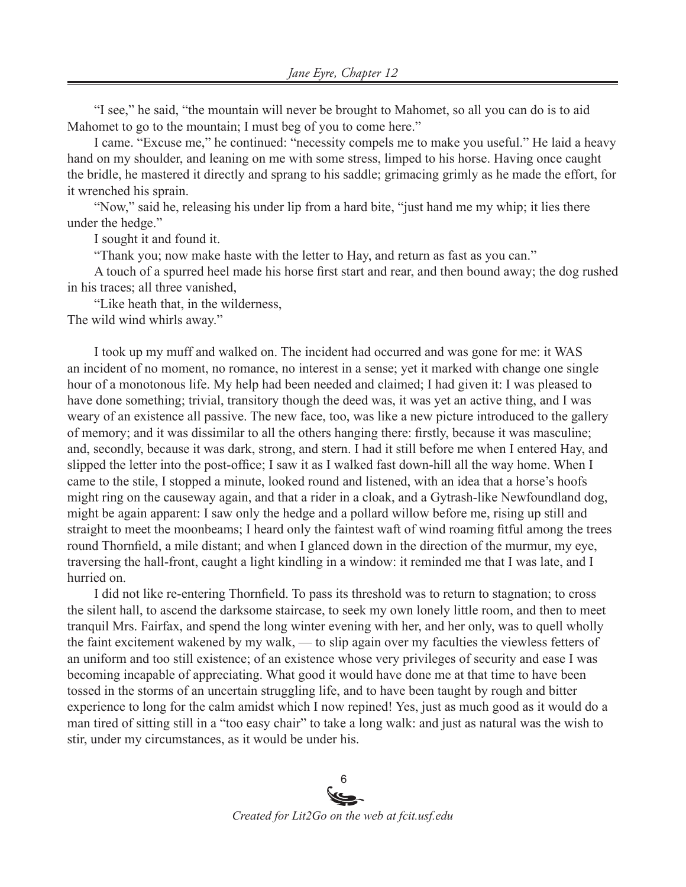"I see," he said, "the mountain will never be brought to Mahomet, so all you can do is to aid Mahomet to go to the mountain; I must beg of you to come here."

I came. "Excuse me," he continued: "necessity compels me to make you useful." He laid a heavy hand on my shoulder, and leaning on me with some stress, limped to his horse. Having once caught the bridle, he mastered it directly and sprang to his saddle; grimacing grimly as he made the effort, for it wrenched his sprain.

"Now," said he, releasing his under lip from a hard bite, "just hand me my whip; it lies there under the hedge."

I sought it and found it.

"Thank you; now make haste with the letter to Hay, and return as fast as you can."

A touch of a spurred heel made his horse first start and rear, and then bound away; the dog rushed in his traces; all three vanished,

"Like heath that, in the wilderness,

The wild wind whirls away."

I took up my muff and walked on. The incident had occurred and was gone for me: it WAS an incident of no moment, no romance, no interest in a sense; yet it marked with change one single hour of a monotonous life. My help had been needed and claimed; I had given it: I was pleased to have done something; trivial, transitory though the deed was, it was yet an active thing, and I was weary of an existence all passive. The new face, too, was like a new picture introduced to the gallery of memory; and it was dissimilar to all the others hanging there: firstly, because it was masculine; and, secondly, because it was dark, strong, and stern. I had it still before me when I entered Hay, and slipped the letter into the post-office; I saw it as I walked fast down-hill all the way home. When I came to the stile, I stopped a minute, looked round and listened, with an idea that a horse's hoofs might ring on the causeway again, and that a rider in a cloak, and a Gytrash-like Newfoundland dog, might be again apparent: I saw only the hedge and a pollard willow before me, rising up still and straight to meet the moonbeams; I heard only the faintest waft of wind roaming fitful among the trees round Thornfield, a mile distant; and when I glanced down in the direction of the murmur, my eye, traversing the hall-front, caught a light kindling in a window: it reminded me that I was late, and I hurried on.

I did not like re-entering Thornfield. To pass its threshold was to return to stagnation; to cross the silent hall, to ascend the darksome staircase, to seek my own lonely little room, and then to meet tranquil Mrs. Fairfax, and spend the long winter evening with her, and her only, was to quell wholly the faint excitement wakened by my walk, — to slip again over my faculties the viewless fetters of an uniform and too still existence; of an existence whose very privileges of security and ease I was becoming incapable of appreciating. What good it would have done me at that time to have been tossed in the storms of an uncertain struggling life, and to have been taught by rough and bitter experience to long for the calm amidst which I now repined! Yes, just as much good as it would do a man tired of sitting still in a "too easy chair" to take a long walk: and just as natural was the wish to stir, under my circumstances, as it would be under his.